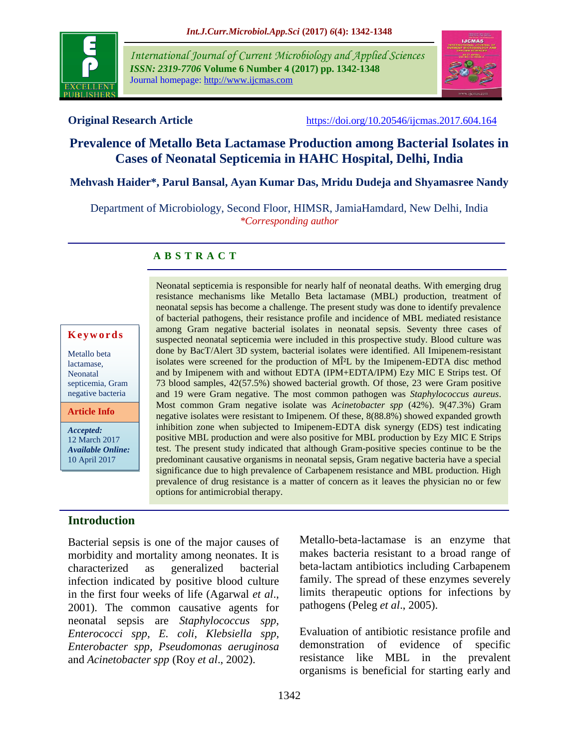

*International Journal of Current Microbiology and Applied Sciences ISSN: 2319-7706* **Volume 6 Number 4 (2017) pp. 1342-1348** Journal homepage: http://www.ijcmas.com



**Original Research Article** <https://doi.org/10.20546/ijcmas.2017.604.164>

### **Prevalence of Metallo Beta Lactamase Production among Bacterial Isolates in Cases of Neonatal Septicemia in HAHC Hospital, Delhi, India**

#### **Mehvash Haider\*, Parul Bansal, Ayan Kumar Das, Mridu Dudeja and Shyamasree Nandy**

Department of Microbiology, Second Floor, HIMSR, JamiaHamdard, New Delhi, India *\*Corresponding author*

#### **A B S T R A C T**

#### **K e y w o r d s**

Metallo beta lactamase, Neonatal septicemia, Gram negative bacteria

**Article Info**

*Accepted:*  12 March 2017 *Available Online:* 10 April 2017

## **Introduction**

Bacterial sepsis is one of the major causes of morbidity and mortality among neonates. It is characterized as generalized bacterial infection indicated by positive blood culture in the first four weeks of life (Agarwal *et al*., 2001). The common causative agents for neonatal sepsis are *Staphylococcus spp, Enterococci spp, E. coli, Klebsiella spp, Enterobacter spp, Pseudomonas aeruginosa* and *Acinetobacter spp* (Roy *et al*., 2002).

neonatal sepsis has become a challenge. The present study was done to identify prevalence of bacterial pathogens, their resistance profile and incidence of MBL mediated resistance among Gram negative bacterial isolates in neonatal sepsis. Seventy three cases of suspected neonatal septicemia were included in this prospective study. Blood culture was done by BacT/Alert 3D system, bacterial isolates were identified. All Imipenem-resistant isolates were screened for the production of MÎ<sup>2</sup>L by the Imipenem-EDTA disc method and by Imipenem with and without EDTA (IPM+EDTA/IPM) Ezy MIC E Strips test. Of 73 blood samples, 42(57.5%) showed bacterial growth. Of those, 23 were Gram positive and 19 were Gram negative. The most common pathogen was *Staphylococcus aureus*. Most common Gram negative isolate was *Acinetobacter spp* (42%). 9(47.3%) Gram negative isolates were resistant to Imipenem. Of these, 8(88.8%) showed expanded growth inhibition zone when subjected to Imipenem-EDTA disk synergy (EDS) test indicating positive MBL production and were also positive for MBL production by Ezy MIC E Strips test. The present study indicated that although Gram-positive species continue to be the predominant causative organisms in neonatal sepsis, Gram negative bacteria have a special significance due to high prevalence of Carbapenem resistance and MBL production. High prevalence of drug resistance is a matter of concern as it leaves the physician no or few options for antimicrobial therapy.

Neonatal septicemia is responsible for nearly half of neonatal deaths. With emerging drug resistance mechanisms like Metallo Beta lactamase (MBL) production, treatment of

> Metallo-beta-lactamase is an enzyme that makes bacteria resistant to a broad range of beta-lactam antibiotics including Carbapenem family. The spread of these enzymes severely limits therapeutic options for infections by pathogens (Peleg *et al*., 2005).

> Evaluation of antibiotic resistance profile and demonstration of evidence of specific resistance like MBL in the prevalent organisms is beneficial for starting early and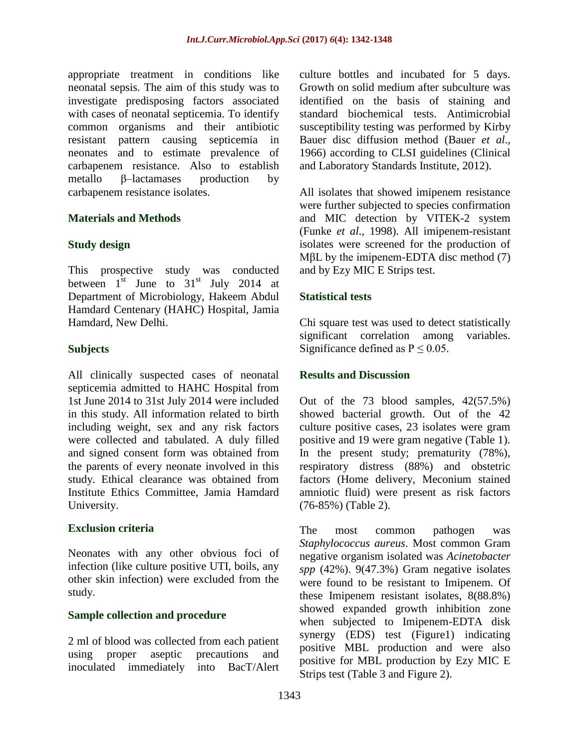appropriate treatment in conditions like neonatal sepsis. The aim of this study was to investigate predisposing factors associated with cases of neonatal septicemia. To identify common organisms and their antibiotic resistant pattern causing septicemia in neonates and to estimate prevalence of carbapenem resistance. Also to establish metallo β–lactamases production by carbapenem resistance isolates.

#### **Materials and Methods**

#### **Study design**

This prospective study was conducted between  $1^{st}$  June to  $31^{st}$  July 2014 at Department of Microbiology, Hakeem Abdul Hamdard Centenary (HAHC) Hospital, Jamia Hamdard, New Delhi.

#### **Subjects**

All clinically suspected cases of neonatal septicemia admitted to HAHC Hospital from 1st June 2014 to 31st July 2014 were included in this study. All information related to birth including weight, sex and any risk factors were collected and tabulated. A duly filled and signed consent form was obtained from the parents of every neonate involved in this study. Ethical clearance was obtained from Institute Ethics Committee, Jamia Hamdard University.

#### **Exclusion criteria**

Neonates with any other obvious foci of infection (like culture positive UTI, boils, any other skin infection) were excluded from the study.

#### **Sample collection and procedure**

2 ml of blood was collected from each patient using proper aseptic precautions and inoculated immediately into BacT/Alert culture bottles and incubated for 5 days. Growth on solid medium after subculture was identified on the basis of staining and standard biochemical tests. Antimicrobial susceptibility testing was performed by Kirby Bauer disc diffusion method (Bauer *et al*., 1966) according to CLSI guidelines (Clinical and Laboratory Standards Institute, 2012).

All isolates that showed imipenem resistance were further subjected to species confirmation and MIC detection by VITEK-2 system (Funke *et al*., 1998). All imipenem-resistant isolates were screened for the production of MβL by the imipenem-EDTA disc method (7) and by Ezy MIC E Strips test.

#### **Statistical tests**

Chi square test was used to detect statistically significant correlation among variables. Significance defined as  $P \le 0.05$ .

#### **Results and Discussion**

Out of the 73 blood samples, 42(57.5%) showed bacterial growth. Out of the 42 culture positive cases, 23 isolates were gram positive and 19 were gram negative (Table 1). In the present study; prematurity (78%), respiratory distress (88%) and obstetric factors (Home delivery, Meconium stained amniotic fluid) were present as risk factors (76-85%) (Table 2).

The most common pathogen was *Staphylococcus aureus*. Most common Gram negative organism isolated was *Acinetobacter spp* (42%). 9(47.3%) Gram negative isolates were found to be resistant to Imipenem. Of these Imipenem resistant isolates, 8(88.8%) showed expanded growth inhibition zone when subjected to Imipenem-EDTA disk synergy (EDS) test (Figure1) indicating positive MBL production and were also positive for MBL production by Ezy MIC E Strips test (Table 3 and Figure 2).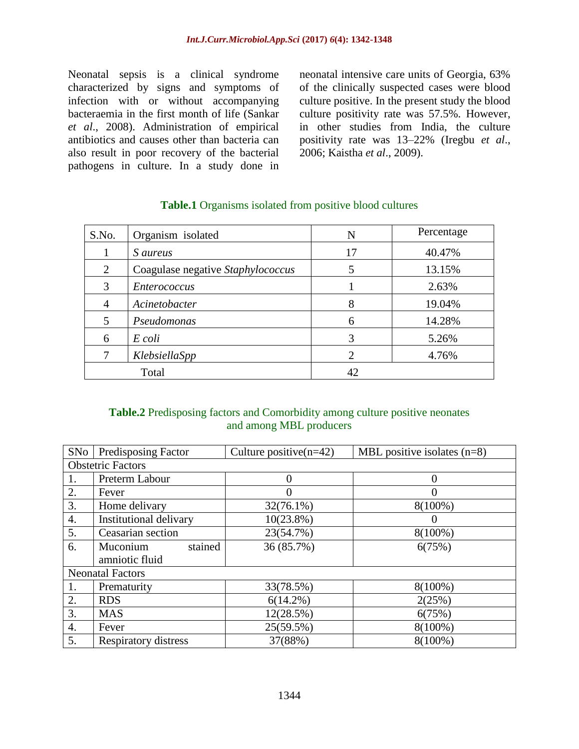Neonatal sepsis is a clinical syndrome characterized by signs and symptoms of infection with or without accompanying bacteraemia in the first month of life (Sankar *et al*., 2008). Administration of empirical antibiotics and causes other than bacteria can also result in poor recovery of the bacterial pathogens in culture. In a study done in neonatal intensive care units of Georgia, 63% of the clinically suspected cases were blood culture positive. In the present study the blood culture positivity rate was 57.5%. However, in other studies from India, the culture positivity rate was 13–22% (Iregbu *et al*., 2006; Kaistha *et al*., 2009).

| S.No. | Organism isolated                 | N              | Percentage |
|-------|-----------------------------------|----------------|------------|
|       | <i>S</i> aureus                   | 17             | 40.47%     |
| 2     | Coagulase negative Staphylococcus | 5              | 13.15%     |
| 3     | <i>Enterococcus</i>               |                | 2.63%      |
| 4     | Acinetobacter                     | 8              | 19.04%     |
| 5     | Pseudomonas                       | 6              | 14.28%     |
| 6     | E coli                            | 3              | 5.26%      |
|       | KlebsiellaSpp                     | $\overline{2}$ | 4.76%      |
| Total |                                   | 42             |            |

#### **Table.1** Organisms isolated from positive blood cultures

#### **Table.2** Predisposing factors and Comorbidity among culture positive neonates and among MBL producers

| SNo                      | <b>Predisposing Factor</b>            | Culture positive $(n=42)$ | MBL positive isolates $(n=8)$ |  |  |  |  |  |
|--------------------------|---------------------------------------|---------------------------|-------------------------------|--|--|--|--|--|
| <b>Obstetric Factors</b> |                                       |                           |                               |  |  |  |  |  |
| 1.                       | Preterm Labour                        | 0                         | $\Omega$                      |  |  |  |  |  |
| 2.                       | Fever                                 | 0                         | 0                             |  |  |  |  |  |
| 3.                       | Home delivary                         | $32(76.1\%)$              | 8(100%)                       |  |  |  |  |  |
| 4.                       | Institutional delivary                | $10(23.8\%)$              |                               |  |  |  |  |  |
| 5.                       | Ceasarian section                     | 23(54.7%)                 | 8(100%)                       |  |  |  |  |  |
| 6.                       | stained<br>Muconium<br>amniotic fluid | 36 (85.7%)                | 6(75%)                        |  |  |  |  |  |
| <b>Neonatal Factors</b>  |                                       |                           |                               |  |  |  |  |  |
| 1.                       | Prematurity                           | 33(78.5%)                 | 8(100%)                       |  |  |  |  |  |
| 2.                       | <b>RDS</b>                            | $6(14.2\%)$               | 2(25%)                        |  |  |  |  |  |
| 3.                       | <b>MAS</b>                            | 12(28.5%)                 |                               |  |  |  |  |  |
| 4.                       | Fever                                 | 25(59.5%)                 | 8(100%)                       |  |  |  |  |  |
| 5.                       | Respiratory distress                  | 37(88%)                   | 8(100%)                       |  |  |  |  |  |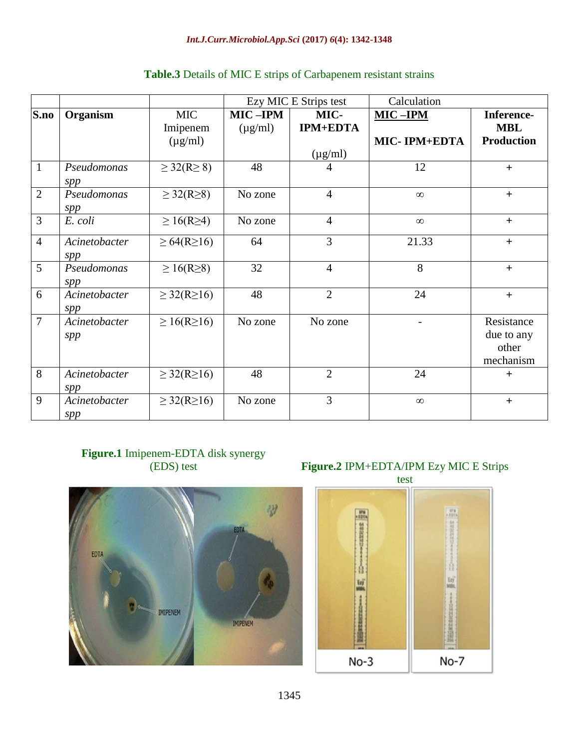|                |                      |                        | Ezy MIC E Strips test |                 | Calculation  |                                                |
|----------------|----------------------|------------------------|-----------------------|-----------------|--------------|------------------------------------------------|
| S.no           | Organism             | <b>MIC</b>             | MIC-IPM               | MIC-            | $MIC-IPM$    | Inference-                                     |
|                |                      | Imipenem               | $(\mu g/ml)$          | <b>IPM+EDTA</b> |              | <b>MBL</b>                                     |
|                |                      | $(\mu g/ml)$           |                       |                 | MIC-IPM+EDTA | <b>Production</b>                              |
|                |                      |                        |                       | $(\mu g/ml)$    |              |                                                |
| $\mathbf{1}$   | Pseudomonas<br>spp   | $\geq$ 32(R $\geq$ 8)  | 48                    | 4               | 12           | $+$                                            |
| $\overline{2}$ | Pseudomonas<br>spp   | $\geq$ 32(R $\geq$ 8)  | No zone               | $\overline{4}$  | $\infty$     | $+$                                            |
| 3              | E. coli              | $\geq 16(R\geq 4)$     | No zone               | $\overline{4}$  | $\infty$     | $+$                                            |
| $\overline{4}$ | Acinetobacter<br>spp | $\geq 64(R \geq 16)$   | 64                    | 3               | 21.33        | $+$                                            |
| 5              | Pseudomonas<br>spp   | $\geq 16(R\geq 8)$     | 32                    | $\overline{4}$  | 8            | $+$                                            |
| 6              | Acinetobacter<br>spp | $\geq$ 32(R $\geq$ 16) | 48                    | $\overline{2}$  | 24           | $+$                                            |
| $\overline{7}$ | Acinetobacter<br>spp | $\geq 16(R \geq 16)$   | No zone               | No zone         |              | Resistance<br>due to any<br>other<br>mechanism |
| 8              | Acinetobacter<br>spp | $\geq$ 32(R $\geq$ 16) | 48                    | $\overline{2}$  | 24           | $+$                                            |
| 9              | Acinetobacter<br>spp | $\geq$ 32(R $\geq$ 16) | No zone               | 3               | $\infty$     | $\ddot{}$                                      |

#### **Table.3** Details of MIC E strips of Carbapenem resistant strains

# **Figure.1** Imipenem-EDTA disk synergy (EDS) test



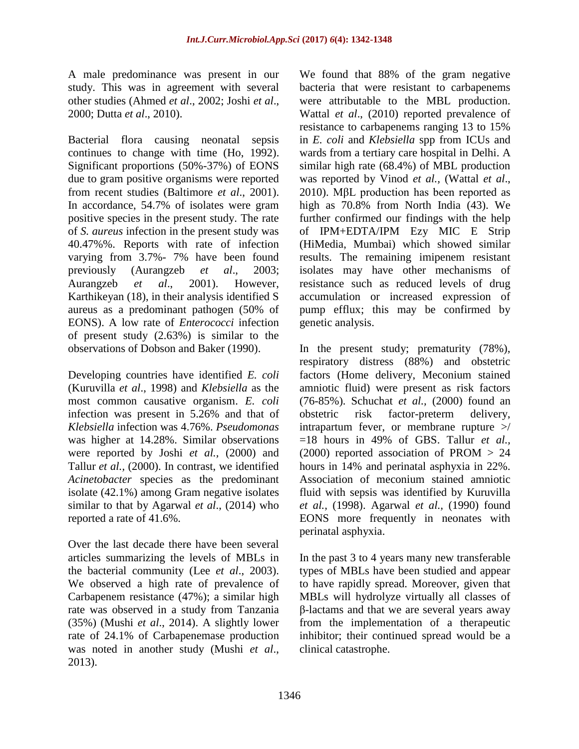A male predominance was present in our study. This was in agreement with several other studies (Ahmed *et al*., 2002; Joshi *et al*., 2000; Dutta *et al*., 2010).

Bacterial flora causing neonatal sepsis continues to change with time (Ho, 1992). Significant proportions (50%-37%) of EONS due to gram positive organisms were reported from recent studies (Baltimore *et al*., 2001). In accordance, 54.7% of isolates were gram positive species in the present study. The rate of *S. aureus* infection in the present study was 40.47%%. Reports with rate of infection varying from 3.7%- 7% have been found previously (Aurangzeb *et al*., 2003; Aurangzeb *et al*., 2001). However, Karthikeyan (18), in their analysis identified S aureus as a predominant pathogen (50% of EONS). A low rate of *Enterococci* infection of present study (2.63%) is similar to the observations of Dobson and Baker (1990).

Developing countries have identified *E. coli* (Kuruvilla *et al*., 1998) and *Klebsiella* as the most common causative organism. *E. coli* infection was present in 5.26% and that of *Klebsiella* infection was 4.76%. *Pseudomonas* was higher at 14.28%. Similar observations were reported by Joshi *et al.,* (2000) and Tallur *et al.,* (2000). In contrast, we identified *Acinetobacter* species as the predominant isolate (42.1%) among Gram negative isolates similar to that by Agarwal *et al*., (2014) who reported a rate of 41.6%.

Over the last decade there have been several articles summarizing the levels of MBLs in the bacterial community (Lee *et al*., 2003). We observed a high rate of prevalence of Carbapenem resistance (47%); a similar high rate was observed in a study from Tanzania (35%) [\(Mushi](http://www.hindawi.com/20595908/) *et al*., 2014). A slightly lower rate of 24.1% of Carbapenemase production was noted in another study [\(Mushi](http://www.hindawi.com/20595908/) *et al*., 2013).

We found that 88% of the gram negative bacteria that were resistant to carbapenems were attributable to the MBL production. Wattal *et al*., (2010) reported prevalence of resistance to carbapenems ranging 13 to 15% in *E. coli* and *Klebsiella* spp from ICUs and wards from a tertiary care hospital in Delhi. A similar high rate (68.4%) of MBL production was reported by Vinod *et al.,* (Wattal *et al*., 2010). MβL production has been reported as high as 70.8% from North India (43). We further confirmed our findings with the help of IPM+EDTA/IPM Ezy MIC E Strip (HiMedia, Mumbai) which showed similar results. The remaining imipenem resistant isolates may have other mechanisms of resistance such as reduced levels of drug accumulation or increased expression of pump efflux; this may be confirmed by genetic analysis.

In the present study; prematurity (78%), respiratory distress (88%) and obstetric factors (Home delivery, Meconium stained amniotic fluid) were present as risk factors (76-85%). Schuchat *et al.,* (2000) found an obstetric risk factor-preterm delivery, intrapartum fever, or membrane rupture  $\geq$ =18 hours in 49% of GBS. Tallur *et al.,* (2000) reported association of PROM > 24 hours in 14% and perinatal asphyxia in 22%. Association of meconium stained amniotic fluid with sepsis was identified by Kuruvilla *et al.,* (1998). Agarwal *et al.,* (1990) found EONS more frequently in neonates with perinatal asphyxia.

In the past 3 to 4 years many new transferable types of MBLs have been studied and appear to have rapidly spread. Moreover, given that MBLs will hydrolyze virtually all classes of β-lactams and that we are several years away from the implementation of a therapeutic inhibitor; their continued spread would be a clinical catastrophe.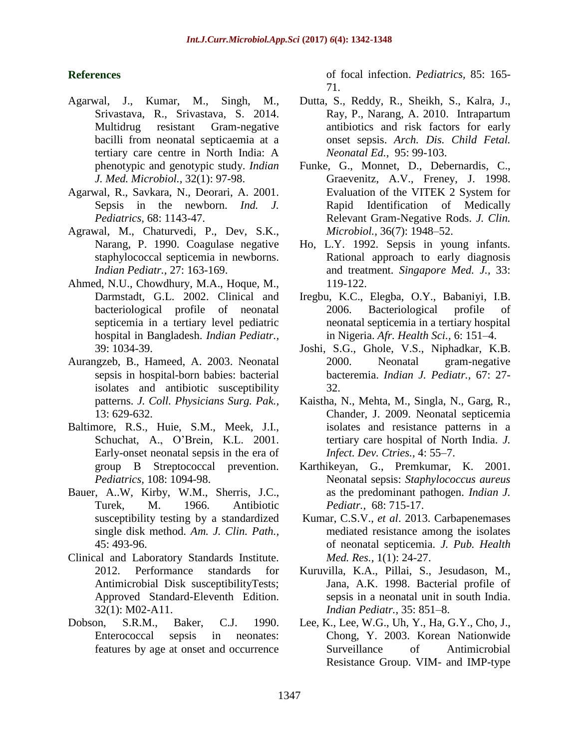#### **References**

- Agarwal, J., Kumar, M., Singh, M., Srivastava, R., Srivastava, S. 2014. Multidrug resistant Gram-negative bacilli from neonatal septicaemia at a tertiary care centre in North India: A phenotypic and genotypic study. *Indian J. Med. Microbiol.,* 32(1): 97-98.
- Agarwal, R., Savkara, N., Deorari, A. 2001. Sepsis in the newborn. *Ind. J. Pediatrics,* 68: 1143-47.
- Agrawal, M., Chaturvedi, P., Dev, S.K., Narang, P. 1990. Coagulase negative staphylococcal septicemia in newborns. *Indian Pediatr.,* 27: 163-169.
- Ahmed, N.U., Chowdhury, M.A., Hoque, M., Darmstadt, G.L. 2002. Clinical and bacteriological profile of neonatal septicemia in a tertiary level pediatric hospital in Bangladesh. *Indian Pediatr.,* 39: 1034-39.
- Aurangzeb, B., Hameed, A. 2003. Neonatal sepsis in hospital-born babies: bacterial isolates and antibiotic susceptibility patterns. *J. Coll. Physicians Surg. Pak.,*  13: 629-632.
- Baltimore, R.S., Huie, S.M., Meek, J.I., Schuchat, A., O'Brein, K.L. 2001. Early-onset neonatal sepsis in the era of group B Streptococcal prevention. *Pediatrics,* 108: 1094-98.
- Bauer, A..W, Kirby, W.M., Sherris, J.C., Turek, M. 1966. Antibiotic susceptibility testing by a standardized single disk method. *Am. J. Clin. Path.,*  45: 493-96.
- Clinical and Laboratory Standards Institute. 2012. Performance standards for Antimicrobial Disk susceptibilityTests; Approved Standard-Eleventh Edition. 32(1): M02-A11.
- Dobson, S.R.M., Baker, C.J. 1990. Enterococcal sepsis in neonates: features by age at onset and occurrence

of focal infection. *Pediatrics,* 85: 165- 71.

- Dutta, S., Reddy, R., Sheikh, S., Kalra, J., Ray, P., Narang, A. 2010. Intrapartum antibiotics and risk factors for early onset sepsis. *Arch. Dis. Child Fetal. Neonatal Ed.,* 95: 99-103.
- Funke, G., Monnet, D., Debernardis, C., Graevenitz, A.V., Freney, J. 1998. Evaluation of the VITEK 2 System for Rapid Identification of Medically Relevant Gram-Negative Rods. *J. Clin. Microbiol.,* 36(7): 1948–52.
- Ho, L.Y. 1992. Sepsis in young infants. Rational approach to early diagnosis and treatment. *Singapore Med. J.,* 33: 119-122.
- Iregbu, K.C., Elegba, O.Y., Babaniyi, I.B. 2006. Bacteriological profile of neonatal septicemia in a tertiary hospital in Nigeria. *Afr. Health Sci.,* 6: 151–4.
- Joshi, S.G., Ghole, V.S., Niphadkar, K.B. 2000. Neonatal gram-negative bacteremia. *Indian J. Pediatr.,* 67: 27- 32.
- Kaistha, N., Mehta, M., Singla, N., Garg, R., Chander, J. 2009. Neonatal septicemia isolates and resistance patterns in a tertiary care hospital of North India. *J. Infect. Dev. Ctries.,* 4: 55–7.
- Karthikeyan, G., Premkumar, K. 2001. Neonatal sepsis: *Staphylococcus aureus* as the predominant pathogen. *Indian J. Pediatr.,* 68: 715-17.
- Kumar, C.S.V., *et al*. 2013. Carbapenemases mediated resistance among the isolates of neonatal septicemia. *J. Pub. Health Med. Res.,* 1(1): 24-27.
- Kuruvilla, K.A., Pillai, S., Jesudason, M., Jana, A.K. 1998. Bacterial profile of sepsis in a neonatal unit in south India. *Indian Pediatr.,* 35: 851–8.
- Lee, K., Lee, W.G., Uh, Y., Ha, G.Y., Cho, J., Chong, Y. 2003. Korean Nationwide Surveillance of Antimicrobial Resistance Group. VIM- and IMP-type